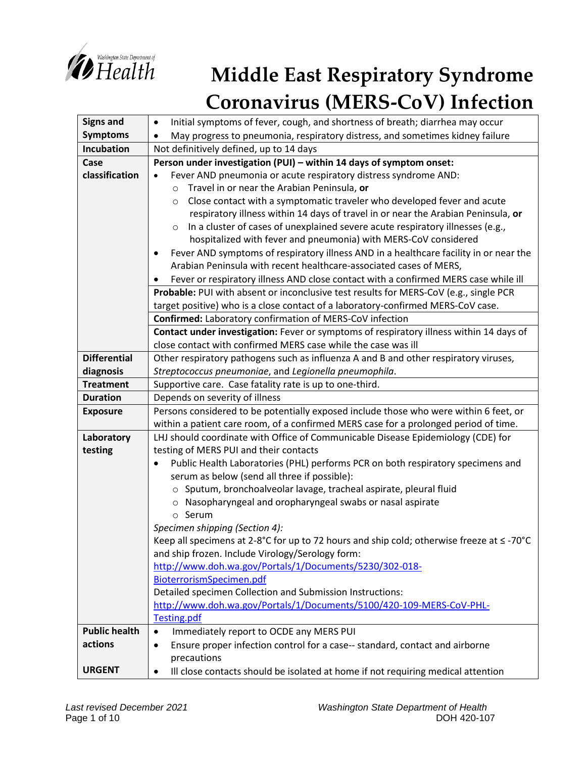

## *Nishington State Department of*<br> *Health* Middle East Respiratory Syndrome **Coronavirus (MERS-CoV) Infection**

| <b>Signs and</b>     | Initial symptoms of fever, cough, and shortness of breath; diarrhea may occur<br>$\bullet$                                       |
|----------------------|----------------------------------------------------------------------------------------------------------------------------------|
| <b>Symptoms</b>      | May progress to pneumonia, respiratory distress, and sometimes kidney failure                                                    |
| <b>Incubation</b>    | Not definitively defined, up to 14 days                                                                                          |
| Case                 | Person under investigation (PUI) - within 14 days of symptom onset:                                                              |
| classification       | Fever AND pneumonia or acute respiratory distress syndrome AND:<br>$\bullet$                                                     |
|                      | Travel in or near the Arabian Peninsula, or<br>$\circ$                                                                           |
|                      | Close contact with a symptomatic traveler who developed fever and acute<br>$\circ$                                               |
|                      | respiratory illness within 14 days of travel in or near the Arabian Peninsula, or                                                |
|                      | In a cluster of cases of unexplained severe acute respiratory illnesses (e.g.,<br>$\circ$                                        |
|                      | hospitalized with fever and pneumonia) with MERS-CoV considered                                                                  |
|                      | Fever AND symptoms of respiratory illness AND in a healthcare facility in or near the                                            |
|                      | Arabian Peninsula with recent healthcare-associated cases of MERS,                                                               |
|                      | Fever or respiratory illness AND close contact with a confirmed MERS case while ill                                              |
|                      | Probable: PUI with absent or inconclusive test results for MERS-CoV (e.g., single PCR                                            |
|                      | target positive) who is a close contact of a laboratory-confirmed MERS-CoV case.                                                 |
|                      | Confirmed: Laboratory confirmation of MERS-CoV infection                                                                         |
|                      | Contact under investigation: Fever or symptoms of respiratory illness within 14 days of                                          |
|                      | close contact with confirmed MERS case while the case was ill                                                                    |
| <b>Differential</b>  | Other respiratory pathogens such as influenza A and B and other respiratory viruses,                                             |
| diagnosis            | Streptococcus pneumoniae, and Legionella pneumophila.                                                                            |
| <b>Treatment</b>     | Supportive care. Case fatality rate is up to one-third.                                                                          |
| <b>Duration</b>      | Depends on severity of illness                                                                                                   |
| <b>Exposure</b>      | Persons considered to be potentially exposed include those who were within 6 feet, or                                            |
|                      | within a patient care room, of a confirmed MERS case for a prolonged period of time.                                             |
| Laboratory           | LHJ should coordinate with Office of Communicable Disease Epidemiology (CDE) for                                                 |
| testing              | testing of MERS PUI and their contacts                                                                                           |
|                      | Public Health Laboratories (PHL) performs PCR on both respiratory specimens and<br>$\bullet$                                     |
|                      | serum as below (send all three if possible):                                                                                     |
|                      | o Sputum, bronchoalveolar lavage, tracheal aspirate, pleural fluid                                                               |
|                      | o Nasopharyngeal and oropharyngeal swabs or nasal aspirate                                                                       |
|                      | o Serum                                                                                                                          |
|                      | Specimen shipping (Section 4):<br>Keep all specimens at 2-8°C for up to 72 hours and ship cold; otherwise freeze at $\leq$ -70°C |
|                      | and ship frozen. Include Virology/Serology form:                                                                                 |
|                      | http://www.doh.wa.gov/Portals/1/Documents/5230/302-018-                                                                          |
|                      | BioterrorismSpecimen.pdf                                                                                                         |
|                      | Detailed specimen Collection and Submission Instructions:                                                                        |
|                      | http://www.doh.wa.gov/Portals/1/Documents/5100/420-109-MERS-CoV-PHL-                                                             |
|                      | Testing.pdf                                                                                                                      |
| <b>Public health</b> | Immediately report to OCDE any MERS PUI<br>$\bullet$                                                                             |
| actions              | Ensure proper infection control for a case-- standard, contact and airborne<br>$\bullet$                                         |
|                      | precautions                                                                                                                      |
| <b>URGENT</b>        | Ill close contacts should be isolated at home if not requiring medical attention<br>٠                                            |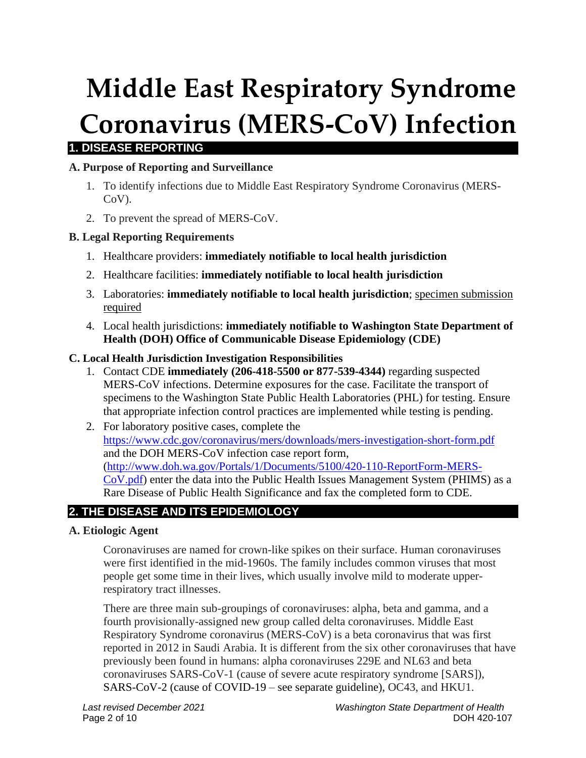# **Middle East Respiratory Syndrome Coronavirus (MERS-CoV) Infection**

## **1. DISEASE REPORTING**

## **A. Purpose of Reporting and Surveillance**

- 1. To identify infections due to Middle East Respiratory Syndrome Coronavirus (MERS-CoV).
- 2. To prevent the spread of MERS-CoV.

#### **B. Legal Reporting Requirements**

- 1. Healthcare providers: **immediately notifiable to local health jurisdiction**
- 2. Healthcare facilities: **immediately notifiable to local health jurisdiction**
- 3. Laboratories: **immediately notifiable to local health jurisdiction**; specimen submission required
- 4. Local health jurisdictions: **immediately notifiable to Washington State Department of Health (DOH) Office of Communicable Disease Epidemiology (CDE)**

#### **C. Local Health Jurisdiction Investigation Responsibilities**

- 1. Contact CDE **immediately (206-418-5500 or 877-539-4344)** regarding suspected MERS-CoV infections. Determine exposures for the case. Facilitate the transport of specimens to the Washington State Public Health Laboratories (PHL) for testing. Ensure that appropriate infection control practices are implemented while testing is pending.
- 2. For laboratory positive cases, complete the <https://www.cdc.gov/coronavirus/mers/downloads/mers-investigation-short-form.pdf> and the DOH MERS-CoV infection case report form, [\(http://www.doh.wa.gov/Portals/1/Documents/5100/420-110-ReportForm-MERS-](http://www.doh.wa.gov/Portals/1/Documents/5100/420-110-ReportForm-MERS-CoV.pdf)[CoV.pdf\)](http://www.doh.wa.gov/Portals/1/Documents/5100/420-110-ReportForm-MERS-CoV.pdf) enter the data into the Public Health Issues Management System (PHIMS) as a Rare Disease of Public Health Significance and fax the completed form to CDE.

## **2. THE DISEASE AND ITS EPIDEMIOLOGY**

#### **A. Etiologic Agent**

Coronaviruses are named for crown-like spikes on their surface. Human coronaviruses were first identified in the mid-1960s. The family includes common viruses that most people get some time in their lives, which usually involve mild to moderate upperrespiratory tract illnesses.

There are three main sub-groupings of coronaviruses: alpha, beta and gamma, and a fourth provisionally-assigned new group called delta coronaviruses. Middle East Respiratory Syndrome coronavirus (MERS-CoV) is a beta coronavirus that was first reported in 2012 in Saudi Arabia. It is different from the six other coronaviruses that have previously been found in humans: alpha coronaviruses 229E and NL63 and beta coronaviruses SARS-CoV-1 (cause of severe acute respiratory syndrome [SARS]), SARS-CoV-2 (cause of COVID-19 – see separate guideline), OC43, and HKU1.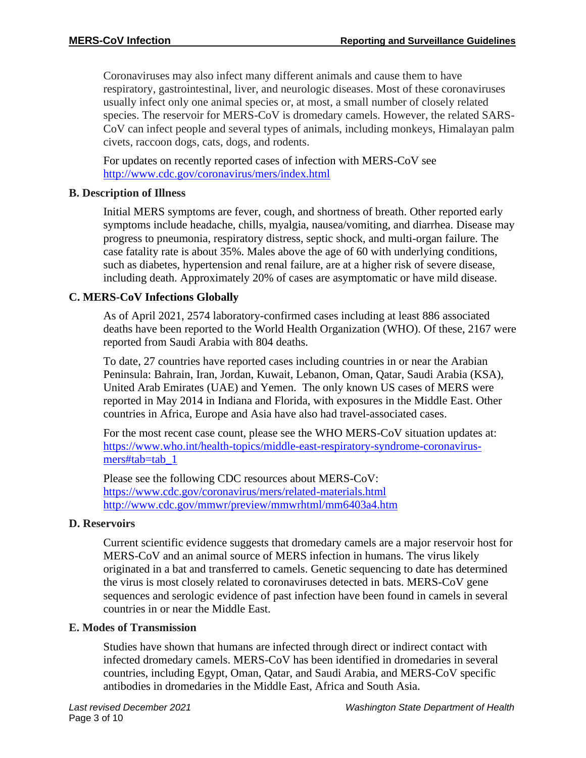Coronaviruses may also infect many different animals and cause them to have respiratory, gastrointestinal, liver, and neurologic diseases. Most of these coronaviruses usually infect only one animal species or, at most, a small number of closely related species. The reservoir for MERS-CoV is dromedary camels. However, the related SARS-CoV can infect people and several types of animals, including monkeys, Himalayan palm civets, raccoon dogs, cats, dogs, and rodents.

For updates on recently reported cases of infection with MERS-CoV see <http://www.cdc.gov/coronavirus/mers/index.html>

## **B. Description of Illness**

Initial MERS symptoms are fever, cough, and shortness of breath. Other reported early symptoms include headache, chills, myalgia, nausea/vomiting, and diarrhea. Disease may progress to pneumonia, respiratory distress, septic shock, and multi-organ failure. The case fatality rate is about 35%. Males above the age of 60 with underlying conditions, such as diabetes, hypertension and renal failure, are at a higher risk of severe disease, including death. Approximately 20% of cases are asymptomatic or have mild disease.

## **C. MERS-CoV Infections Globally**

As of April 2021, 2574 laboratory-confirmed cases including at least 886 associated deaths have been reported to the World Health Organization (WHO). Of these, 2167 were reported from Saudi Arabia with 804 deaths.

To date, 27 countries have reported cases including countries in or near the Arabian Peninsula: Bahrain, Iran, Jordan, Kuwait, Lebanon, Oman, Qatar, Saudi Arabia (KSA), United Arab Emirates (UAE) and Yemen. The only known US cases of MERS were reported in May 2014 in Indiana and Florida, with exposures in the Middle East. Other countries in Africa, Europe and Asia have also had travel-associated cases.

For the most recent case count, please see the WHO MERS-CoV situation updates at: [https://www.who.int/health-topics/middle-east-respiratory-syndrome-coronavirus](https://www.who.int/health-topics/middle-east-respiratory-syndrome-coronavirus-mers#tab=tab_1)[mers#tab=tab\\_1](https://www.who.int/health-topics/middle-east-respiratory-syndrome-coronavirus-mers#tab=tab_1)

Please see the following CDC resources about MERS-CoV: <https://www.cdc.gov/coronavirus/mers/related-materials.html> <http://www.cdc.gov/mmwr/preview/mmwrhtml/mm6403a4.htm>

## **D. Reservoirs**

Current scientific evidence suggests that dromedary camels are a major reservoir host for MERS-CoV and an animal source of MERS infection in humans. The virus likely originated in a bat and transferred to camels. Genetic sequencing to date has determined the virus is most closely related to coronaviruses detected in bats. MERS-CoV gene sequences and serologic evidence of past infection have been found in camels in several countries in or near the Middle East.

## **E. Modes of Transmission**

Studies have shown that humans are infected through direct or indirect contact with infected dromedary camels. MERS-CoV has been identified in dromedaries in several countries, including Egypt, Oman, Qatar, and Saudi Arabia, and MERS-CoV specific antibodies in dromedaries in the Middle East, Africa and South Asia.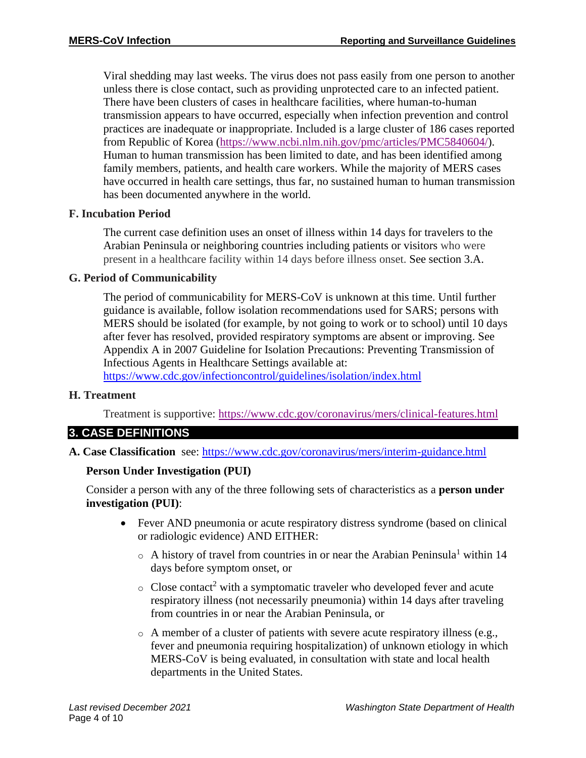Viral shedding may last weeks. The virus does not pass easily from one person to another unless there is close contact, such as providing unprotected care to an infected patient. There have been clusters of cases in healthcare facilities, where human-to-human transmission appears to have occurred, especially when infection prevention and control practices are inadequate or inappropriate. Included is a large cluster of 186 cases reported from Republic of Korea [\(https://www.ncbi.nlm.nih.gov/pmc/articles/PMC5840604/\)](https://www.ncbi.nlm.nih.gov/pmc/articles/PMC5840604/). Human to human transmission has been limited to date, and has been identified among family members, patients, and health care workers. While the majority of MERS cases have occurred in health care settings, thus far, no sustained human to human transmission has been documented anywhere in the world.

#### **F. Incubation Period**

The current case definition uses an onset of illness within 14 days for travelers to the Arabian Peninsula or neighboring countries including patients or visitors who were present in a healthcare facility within 14 days before illness onset. See section 3.A.

#### **G. Period of Communicability**

The period of communicability for MERS-CoV is unknown at this time. Until further guidance is available, follow isolation recommendations used for SARS; persons with MERS should be isolated (for example, by not going to work or to school) until 10 days after fever has resolved, provided respiratory symptoms are absent or improving. See Appendix A in 2007 Guideline for Isolation Precautions: Preventing Transmission of Infectious Agents in Healthcare Settings available at:

<https://www.cdc.gov/infectioncontrol/guidelines/isolation/index.html>

## **H. Treatment**

Treatment is supportive:<https://www.cdc.gov/coronavirus/mers/clinical-features.html>

## **3. CASE DEFINITIONS**

**A. Case Classification** see:<https://www.cdc.gov/coronavirus/mers/interim-guidance.html>

## **Person Under Investigation (PUI)**

Consider a person with any of the three following sets of characteristics as a **person under investigation (PUI)**:

- Fever AND pneumonia or acute respiratory distress syndrome (based on clinical or radiologic evidence) AND EITHER:
	- $\circ$  A history of travel from countries in or near the Arabian Peninsula<sup>1</sup> within 14 days before symptom onset, or
	- $\circ$  Close contact<sup>2</sup> with a symptomatic traveler who developed fever and acute respiratory illness (not necessarily pneumonia) within 14 days after traveling from countries in or near the Arabian Peninsula, or
	- o A member of a cluster of patients with severe acute respiratory illness (e.g., fever and pneumonia requiring hospitalization) of unknown etiology in which MERS-CoV is being evaluated, in consultation with state and local health departments in the United States.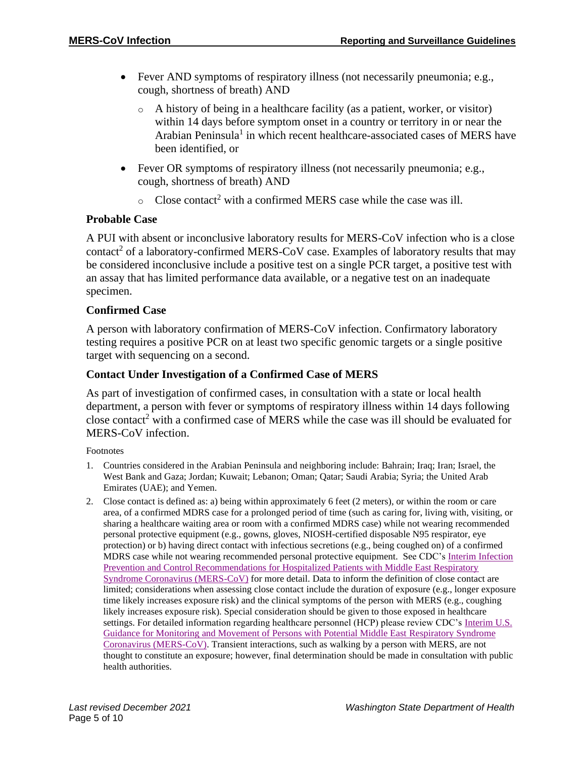- Fever AND symptoms of respiratory illness (not necessarily pneumonia; e.g., cough, shortness of breath) AND
	- o A history of being in a healthcare facility (as a patient, worker, or visitor) within 14 days before symptom onset in a country or territory in or near the Arabian Peninsula<sup>1</sup> in which recent healthcare-associated cases of MERS have been identified, or
- Fever OR symptoms of respiratory illness (not necessarily pneumonia; e.g., cough, shortness of breath) AND
	- $\circ$  Close contact<sup>2</sup> with a confirmed MERS case while the case was ill.

#### **Probable Case**

A PUI with absent or inconclusive laboratory results for MERS-CoV infection who is a close contact<sup>2</sup> of a laboratory-confirmed MERS-CoV case. Examples of laboratory results that may be considered inconclusive include a positive test on a single PCR target, a positive test with an assay that has limited performance data available, or a negative test on an inadequate specimen.

#### **Confirmed Case**

A person with laboratory confirmation of MERS-CoV infection. Confirmatory laboratory testing requires a positive PCR on at least two specific genomic targets or a single positive target with sequencing on a second.

#### **Contact Under Investigation of a Confirmed Case of MERS**

As part of investigation of confirmed cases, in consultation with a state or local health department, a person with fever or symptoms of respiratory illness within 14 days following close contact<sup>2</sup> with a confirmed case of MERS while the case was ill should be evaluated for MERS-CoV infection.

Footnotes

- 1. Countries considered in the Arabian Peninsula and neighboring include: Bahrain; Iraq; Iran; Israel, the West Bank and Gaza; Jordan; Kuwait; Lebanon; Oman; Qatar; Saudi Arabia; Syria; the United Arab Emirates (UAE); and Yemen.
- 2. Close contact is defined as: a) being within approximately 6 feet (2 meters), or within the room or care area, of a confirmed MDRS case for a prolonged period of time (such as caring for, living with, visiting, or sharing a healthcare waiting area or room with a confirmed MDRS case) while not wearing recommended personal protective equipment (e.g., gowns, gloves, NIOSH-certified disposable N95 respirator, eye protection) or b) having direct contact with infectious secretions (e.g., being coughed on) of a confirmed MDRS case while not wearing recommended personal protective equipment. See CDC's Interim Infection Prevention [and Control Recommendations for Hospitalized Patients with Middle East Respiratory](https://www.cdc.gov/coronavirus/mers/infection-prevention-control.html)  [Syndrome Coronavirus \(MERS-CoV\)](https://www.cdc.gov/coronavirus/mers/infection-prevention-control.html) for more detail. Data to inform the definition of close contact are limited; considerations when assessing close contact include the duration of exposure (e.g., longer exposure time likely increases exposure risk) and the clinical symptoms of the person with MERS (e.g., coughing likely increases exposure risk). Special consideration should be given to those exposed in healthcare settings. For detailed information regarding healthcare personnel (HCP) please review CDC's [Interim U.S.](https://www.cdc.gov/coronavirus/mers/hcp/monitoring-movement-guidance.html)  [Guidance for Monitoring and Movement of Persons with Potential Middle East](https://www.cdc.gov/coronavirus/mers/hcp/monitoring-movement-guidance.html) Respiratory Syndrome [Coronavirus \(MERS-CoV\).](https://www.cdc.gov/coronavirus/mers/hcp/monitoring-movement-guidance.html) Transient interactions, such as walking by a person with MERS, are not thought to constitute an exposure; however, final determination should be made in consultation with public health authorities.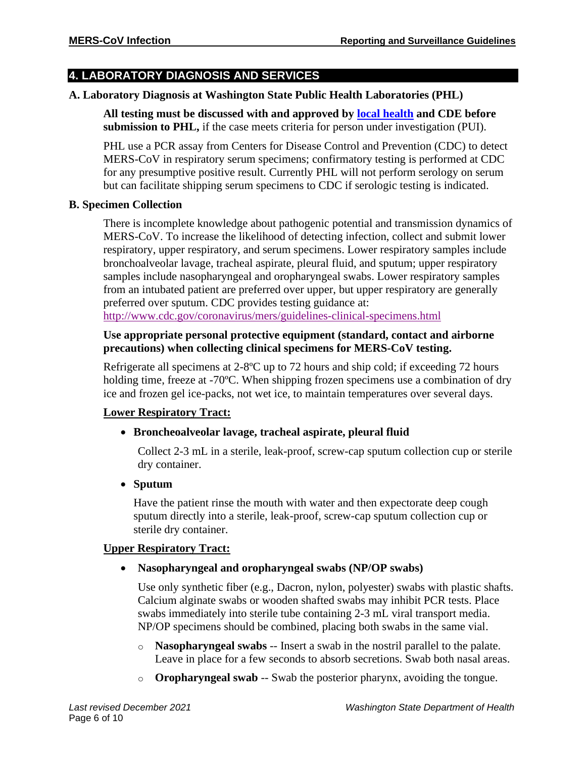## **4. LABORATORY DIAGNOSIS AND SERVICES**

#### **A. Laboratory Diagnosis at Washington State Public Health Laboratories (PHL)**

**All testing must be discussed with and approved by [local health](http://www.doh.wa.gov/AboutUs/PublicHealthSystem/LocalHealthJurisdictions.aspx) and CDE before submission to PHL,** if the case meets criteria for person under investigation (PUI).

PHL use a PCR assay from Centers for Disease Control and Prevention (CDC) to detect MERS-CoV in respiratory serum specimens; confirmatory testing is performed at CDC for any presumptive positive result. Currently PHL will not perform serology on serum but can facilitate shipping serum specimens to CDC if serologic testing is indicated.

#### **B. Specimen Collection**

There is incomplete knowledge about pathogenic potential and transmission dynamics of MERS-CoV. To increase the likelihood of detecting infection, collect and submit lower respiratory, upper respiratory, and serum specimens. Lower respiratory samples include bronchoalveolar lavage, tracheal aspirate, pleural fluid, and sputum; upper respiratory samples include nasopharyngeal and oropharyngeal swabs. Lower respiratory samples from an intubated patient are preferred over upper, but upper respiratory are generally preferred over sputum. CDC provides testing guidance at: <http://www.cdc.gov/coronavirus/mers/guidelines-clinical-specimens.html>

#### **Use appropriate personal protective equipment (standard, contact and airborne precautions) when collecting clinical specimens for MERS-CoV testing.**

Refrigerate all specimens at 2-8ºC up to 72 hours and ship cold; if exceeding 72 hours holding time, freeze at -70<sup>o</sup>C. When shipping frozen specimens use a combination of dry ice and frozen gel ice-packs, not wet ice, to maintain temperatures over several days.

## **Lower Respiratory Tract:**

## • **Broncheoalveolar lavage, tracheal aspirate, pleural fluid**

Collect 2-3 mL in a sterile, leak-proof, screw-cap sputum collection cup or sterile dry container.

• **Sputum**

Have the patient rinse the mouth with water and then expectorate deep cough sputum directly into a sterile, leak-proof, screw-cap sputum collection cup or sterile dry container.

## **Upper Respiratory Tract:**

## • **Nasopharyngeal and oropharyngeal swabs (NP/OP swabs)**

Use only synthetic fiber (e.g., Dacron, nylon, polyester) swabs with plastic shafts. Calcium alginate swabs or wooden shafted swabs may inhibit PCR tests. Place swabs immediately into sterile tube containing 2-3 mL viral transport media. NP/OP specimens should be combined, placing both swabs in the same vial.

- o **Nasopharyngeal swabs** -- Insert a swab in the nostril parallel to the palate. Leave in place for a few seconds to absorb secretions. Swab both nasal areas.
- o **Oropharyngeal swab** -- Swab the posterior pharynx, avoiding the tongue.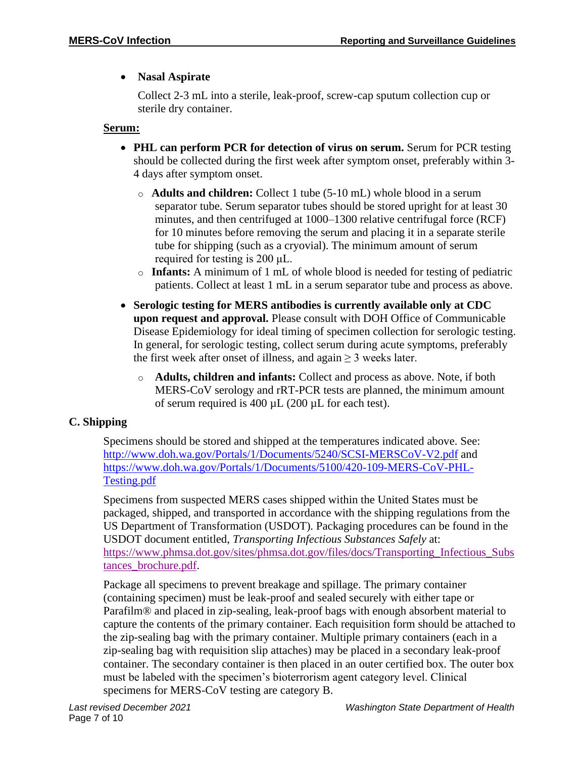## • **Nasal Aspirate**

Collect 2-3 mL into a sterile, leak-proof, screw-cap sputum collection cup or sterile dry container.

#### **Serum:**

- **PHL can perform PCR for detection of virus on serum.** Serum for PCR testing should be collected during the first week after symptom onset, preferably within 3- 4 days after symptom onset.
	- o **Adults and children:** Collect 1 tube (5-10 mL) whole blood in a serum separator tube. Serum separator tubes should be stored upright for at least 30 minutes, and then centrifuged at 1000–1300 relative centrifugal force (RCF) for 10 minutes before removing the serum and placing it in a separate sterile tube for shipping (such as a cryovial). The minimum amount of serum required for testing is 200 μL.
	- o **Infants:** A minimum of 1 mL of whole blood is needed for testing of pediatric patients. Collect at least 1 mL in a serum separator tube and process as above.
- **Serologic testing for MERS antibodies is currently available only at CDC upon request and approval.** Please consult with DOH Office of Communicable Disease Epidemiology for ideal timing of specimen collection for serologic testing. In general, for serologic testing, collect serum during acute symptoms, preferably the first week after onset of illness, and again  $\geq$  3 weeks later.
	- o **Adults, children and infants:** Collect and process as above. Note, if both MERS-CoV serology and rRT-PCR tests are planned, the minimum amount of serum required is 400  $\mu$ L (200  $\mu$ L for each test).

## **C. Shipping**

Specimens should be stored and shipped at the temperatures indicated above. See: <http://www.doh.wa.gov/Portals/1/Documents/5240/SCSI-MERSCoV-V2.pdf> and [https://www.doh.wa.gov/Portals/1/Documents/5100/420-109-MERS-CoV-PHL-](https://www.doh.wa.gov/Portals/1/Documents/5100/420-109-MERS-CoV-PHL-Testing.pdf)[Testing.pdf](https://www.doh.wa.gov/Portals/1/Documents/5100/420-109-MERS-CoV-PHL-Testing.pdf)

Specimens from suspected MERS cases shipped within the United States must be packaged, shipped, and transported in accordance with the shipping regulations from the US Department of Transformation (USDOT). Packaging procedures can be found in the USDOT document entitled, *Transporting Infectious Substances Safely* at: https://www.phmsa.dot.gov/sites/phmsa.dot.gov/files/docs/Transporting Infectious Subs [tances\\_brochure.pdf.](https://www.phmsa.dot.gov/sites/phmsa.dot.gov/files/docs/Transporting_Infectious_Substances_brochure.pdf)

Package all specimens to prevent breakage and spillage. The primary container (containing specimen) must be leak-proof and sealed securely with either tape or Parafilm® and placed in zip-sealing, leak-proof bags with enough absorbent material to capture the contents of the primary container. Each requisition form should be attached to the zip-sealing bag with the primary container. Multiple primary containers (each in a zip-sealing bag with requisition slip attaches) may be placed in a secondary leak-proof container. The secondary container is then placed in an outer certified box. The outer box must be labeled with the specimen's bioterrorism agent category level. Clinical specimens for MERS-CoV testing are category B.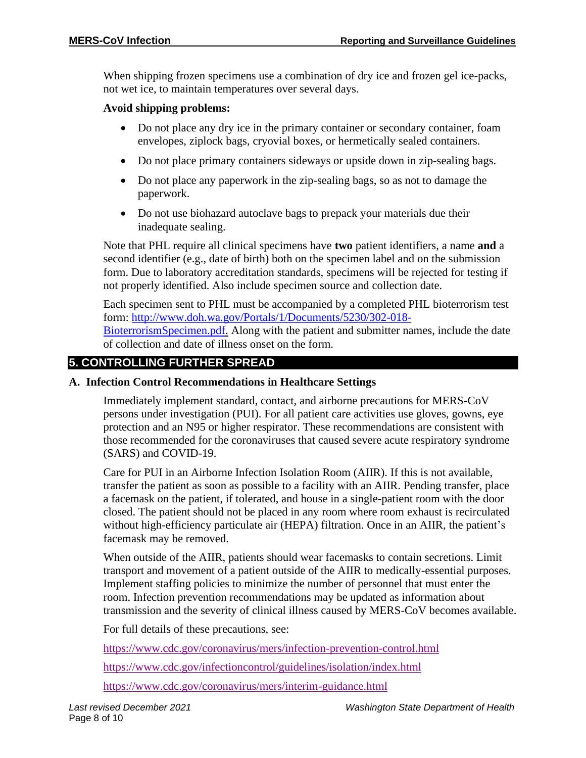When shipping frozen specimens use a combination of dry ice and frozen gel ice-packs, not wet ice, to maintain temperatures over several days.

#### **Avoid shipping problems:**

- Do not place any dry ice in the primary container or secondary container, foam envelopes, ziplock bags, cryovial boxes, or hermetically sealed containers.
- Do not place primary containers sideways or upside down in zip-sealing bags.
- Do not place any paperwork in the zip-sealing bags, so as not to damage the paperwork.
- Do not use biohazard autoclave bags to prepack your materials due their inadequate sealing.

Note that PHL require all clinical specimens have **two** patient identifiers, a name **and** a second identifier (e.g., date of birth) both on the specimen label and on the submission form. Due to laboratory accreditation standards, specimens will be rejected for testing if not properly identified. Also include specimen source and collection date.

Each specimen sent to PHL must be accompanied by a completed PHL bioterrorism test form: [http://www.doh.wa.gov/Portals/1/Documents/5230/302-018-](http://www.doh.wa.gov/Portals/1/Documents/5230/302-018-BioterrorismSpecimen.pdf) [BioterrorismSpecimen.pdf.](http://www.doh.wa.gov/Portals/1/Documents/5230/302-018-BioterrorismSpecimen.pdf) Along with the patient and submitter names, include the date of collection and date of illness onset on the form.

## **5. CONTROLLING FURTHER SPREAD**

## **A. Infection Control Recommendations in Healthcare Settings**

Immediately implement standard, contact, and airborne precautions for MERS-CoV persons under investigation (PUI). For all patient care activities use gloves, gowns, eye protection and an N95 or higher respirator. These recommendations are consistent with those recommended for the coronaviruses that caused severe acute respiratory syndrome (SARS) and COVID-19.

Care for PUI in an Airborne Infection Isolation Room (AIIR). If this is not available, transfer the patient as soon as possible to a facility with an AIIR. Pending transfer, place a facemask on the patient, if tolerated, and house in a single-patient room with the door closed. The patient should not be placed in any room where room exhaust is recirculated without high-efficiency particulate air (HEPA) filtration. Once in an AIIR, the patient's facemask may be removed.

When outside of the AIIR, patients should wear facemasks to contain secretions. Limit transport and movement of a patient outside of the AIIR to medically-essential purposes. Implement staffing policies to minimize the number of personnel that must enter the room. Infection prevention recommendations may be updated as information about transmission and the severity of clinical illness caused by MERS-CoV becomes available.

For full details of these precautions, see:

<https://www.cdc.gov/coronavirus/mers/infection-prevention-control.html>

<https://www.cdc.gov/infectioncontrol/guidelines/isolation/index.html>

<https://www.cdc.gov/coronavirus/mers/interim-guidance.html>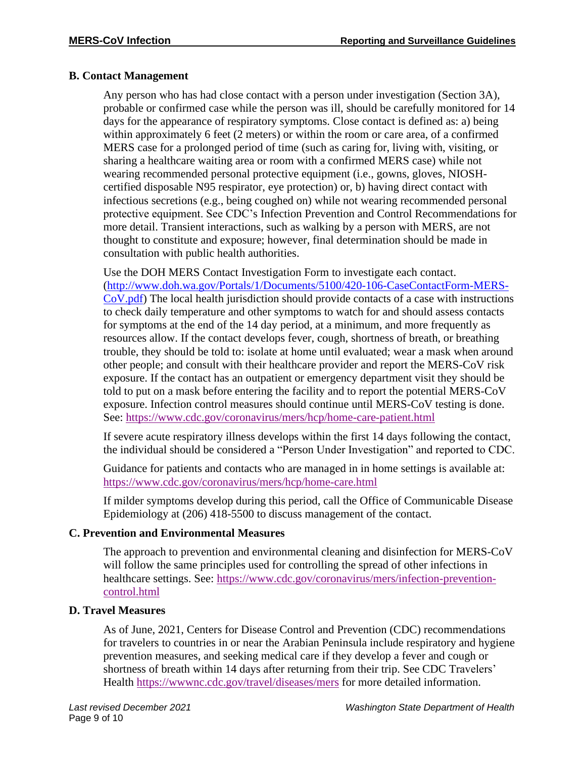#### **B. Contact Management**

Any person who has had close contact with a person under investigation (Section 3A), probable or confirmed case while the person was ill, should be carefully monitored for 14 days for the appearance of respiratory symptoms. Close contact is defined as: a) being within approximately 6 feet (2 meters) or within the room or care area, of a confirmed MERS case for a prolonged period of time (such as caring for, living with, visiting, or sharing a healthcare waiting area or room with a confirmed MERS case) while not wearing recommended personal protective equipment (i.e., gowns, gloves, NIOSHcertified disposable N95 respirator, eye protection) or, b) having direct contact with infectious secretions (e.g., being coughed on) while not wearing recommended personal protective equipment. See CDC's Infection Prevention and Control Recommendations for more detail. Transient interactions, such as walking by a person with MERS, are not thought to constitute and exposure; however, final determination should be made in consultation with public health authorities.

Use the DOH MERS Contact Investigation Form to investigate each contact. [\(http://www.doh.wa.gov/Portals/1/Documents/5100/420-106-CaseContactForm-MERS-](http://www.doh.wa.gov/Portals/1/Documents/5100/420-106-CaseContactForm-MERS-CoV.pdf)[CoV.pdf\)](http://www.doh.wa.gov/Portals/1/Documents/5100/420-106-CaseContactForm-MERS-CoV.pdf) The local health jurisdiction should provide contacts of a case with instructions to check daily temperature and other symptoms to watch for and should assess contacts for symptoms at the end of the 14 day period, at a minimum, and more frequently as resources allow. If the contact develops fever, cough, shortness of breath, or breathing trouble, they should be told to: isolate at home until evaluated; wear a mask when around other people; and consult with their healthcare provider and report the MERS-CoV risk exposure. If the contact has an outpatient or emergency department visit they should be told to put on a mask before entering the facility and to report the potential MERS-CoV exposure. Infection control measures should continue until MERS-CoV testing is done. See:<https://www.cdc.gov/coronavirus/mers/hcp/home-care-patient.html>

If severe acute respiratory illness develops within the first 14 days following the contact, the individual should be considered a "Person Under Investigation" and reported to CDC.

Guidance for patients and contacts who are managed in in home settings is available at: <https://www.cdc.gov/coronavirus/mers/hcp/home-care.html>

If milder symptoms develop during this period, call the Office of Communicable Disease Epidemiology at (206) 418-5500 to discuss management of the contact.

## **C. Prevention and Environmental Measures**

The approach to prevention and environmental cleaning and disinfection for MERS-CoV will follow the same principles used for controlling the spread of other infections in healthcare settings. See: [https://www.cdc.gov/coronavirus/mers/infection-prevention](https://www.cdc.gov/coronavirus/mers/infection-prevention-control.html)[control.html](https://www.cdc.gov/coronavirus/mers/infection-prevention-control.html)

## **D. Travel Measures**

As of June, 2021, Centers for Disease Control and Prevention (CDC) recommendations for travelers to countries in or near the Arabian Peninsula include respiratory and hygiene prevention measures, and seeking medical care if they develop a fever and cough or shortness of breath within 14 days after returning from their trip. See CDC Travelers' Health <https://wwwnc.cdc.gov/travel/diseases/mers> for more detailed information.